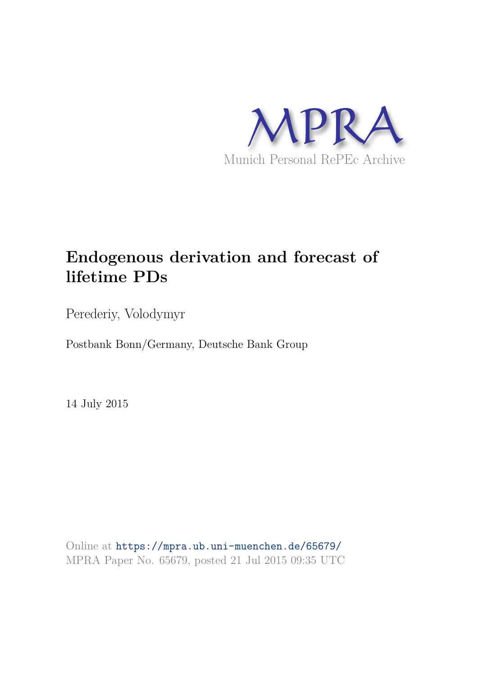

# **Endogenous derivation and forecast of lifetime PDs**

Perederiy, Volodymyr

Postbank Bonn/Germany, Deutsche Bank Group

14 July 2015

Online at https://mpra.ub.uni-muenchen.de/65679/ MPRA Paper No. 65679, posted 21 Jul 2015 09:35 UTC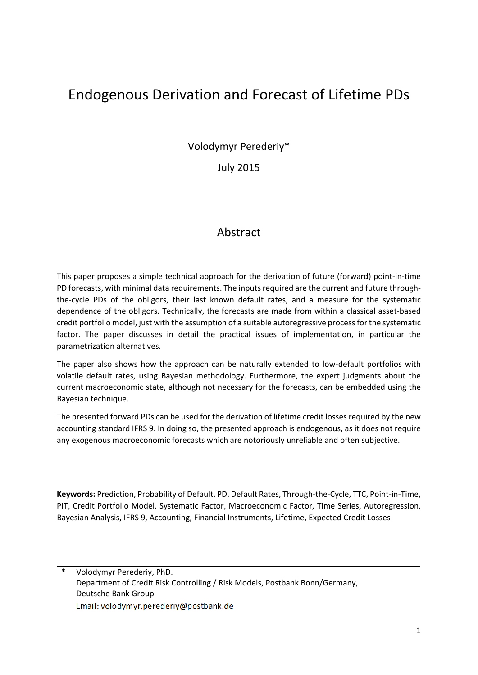# Endogenous Derivation and Forecast of Lifetime PDs

Volodymyr Perederiy\*

July 2015

# Abstract

This paper proposes a simple technical approach for the derivation of future (forward) point‐in‐time PD forecasts, with minimal data requirements. The inputs required are the current and future throughthe‐cycle PDs of the obligors, their last known default rates, and a measure for the systematic dependence of the obligors. Technically, the forecasts are made from within a classical asset‐based credit portfolio model, just with the assumption of a suitable autoregressive processfor the systematic factor. The paper discusses in detail the practical issues of implementation, in particular the parametrization alternatives.

The paper also shows how the approach can be naturally extended to low-default portfolios with volatile default rates, using Bayesian methodology. Furthermore, the expert judgments about the current macroeconomic state, although not necessary for the forecasts, can be embedded using the Bayesian technique.

The presented forward PDs can be used for the derivation of lifetime credit losses required by the new accounting standard IFRS 9. In doing so, the presented approach is endogenous, as it does not require any exogenous macroeconomic forecasts which are notoriously unreliable and often subjective.

**Keywords:** Prediction, Probability of Default, PD, Default Rates, Through‐the‐Cycle, TTC, Point‐in‐Time, PIT, Credit Portfolio Model, Systematic Factor, Macroeconomic Factor, Time Series, Autoregression, Bayesian Analysis, IFRS 9, Accounting, Financial Instruments, Lifetime, Expected Credit Losses

Volodymyr Perederiy, PhD. Department of Credit Risk Controlling / Risk Models, Postbank Bonn/Germany, Deutsche Bank Group Email: volodymyr.perederiy@postbank.de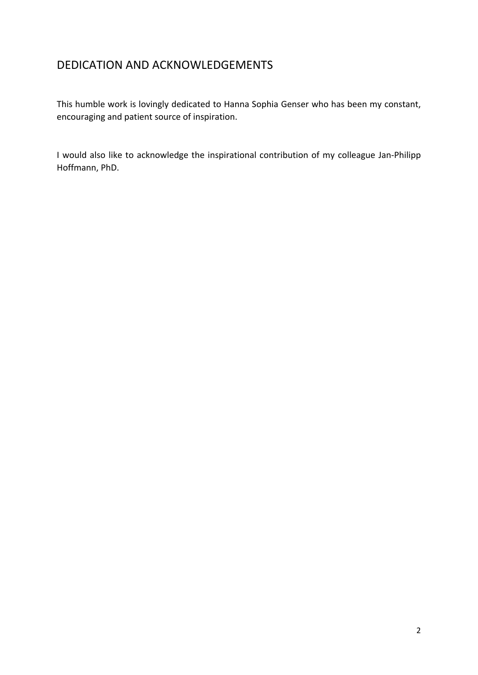# DEDICATION AND ACKNOWLEDGEMENTS

This humble work is lovingly dedicated to Hanna Sophia Genser who has been my constant, encouraging and patient source of inspiration.

I would also like to acknowledge the inspirational contribution of my colleague Jan‐Philipp Hoffmann, PhD.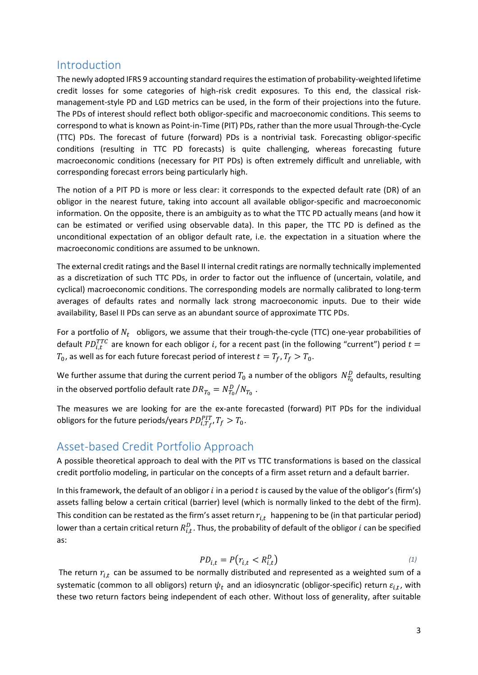## Introduction

The newly adopted IFRS 9 accounting standard requires the estimation of probability-weighted lifetime credit losses for some categories of high-risk credit exposures. To this end, the classical riskmanagement‐style PD and LGD metrics can be used, in the form of their projections into the future. The PDs of interest should reflect both obligor‐specific and macroeconomic conditions. This seems to correspond to what is known as Point‐in‐Time (PIT) PDs, rather than the more usual Through‐the‐Cycle (TTC) PDs. The forecast of future (forward) PDs is a nontrivial task. Forecasting obligor‐specific conditions (resulting in TTC PD forecasts) is quite challenging, whereas forecasting future macroeconomic conditions (necessary for PIT PDs) is often extremely difficult and unreliable, with corresponding forecast errors being particularly high.

The notion of a PIT PD is more or less clear: it corresponds to the expected default rate (DR) of an obligor in the nearest future, taking into account all available obligor‐specific and macroeconomic information. On the opposite, there is an ambiguity as to what the TTC PD actually means (and how it can be estimated or verified using observable data). In this paper, the TTC PD is defined as the unconditional expectation of an obligor default rate, i.e. the expectation in a situation where the macroeconomic conditions are assumed to be unknown.

The external credit ratings and the Basel II internal credit ratings are normally technically implemented as a discretization of such TTC PDs, in order to factor out the influence of (uncertain, volatile, and cyclical) macroeconomic conditions. The corresponding models are normally calibrated to long‐term averages of defaults rates and normally lack strong macroeconomic inputs. Due to their wide availability, Basel II PDs can serve as an abundant source of approximate TTC PDs.

For a portfolio of  $N_t$  obligors, we assume that their trough-the-cycle (TTC) one-year probabilities of default  $PD_{i,t}^{TTC}$  are known for each obligor i, for a recent past (in the following "current") period  $t=$  $T_0$ , as well as for each future forecast period of interest  $t = T_f$ ,  $T_f > T_0$ .

We further assume that during the current period  $T_0$  a number of the obligors  $\,N^D_{T_0}$  defaults, resulting in the observed portfolio default rate  $DR_{T_0} = N_{T_0}^D/N_{T_0}$  .

The measures we are looking for are the ex-ante forecasted (forward) PIT PDs for the individual obligors for the future periods/years  $PD_{i,T_f}^{PIT}, T_f > T_0$ .

# Asset‐based Credit Portfolio Approach

A possible theoretical approach to deal with the PIT vs TTC transformations is based on the classical credit portfolio modeling, in particular on the concepts of a firm asset return and a default barrier.

In this framework, the default of an obligor  $i$  in a period  $t$  is caused by the value of the obligor's (firm's) assets falling below a certain critical (barrier) level (which is normally linked to the debt of the firm). This condition can be restated as the firm's asset return  $r_{i,t}$  happening to be (in that particular period) lower than a certain critical return  $R_{i,t}^D$ . Thus, the probability of default of the obligor  $i$  can be specified as:

$$
PD_{i,t} = P(r_{i,t} < R_{i,t}^D) \tag{1}
$$

The return  $r_{i,t}$  can be assumed to be normally distributed and represented as a weighted sum of a systematic (common to all obligors) return  $\psi_t$  and an idiosyncratic (obligor-specific) return  $\varepsilon_{i,t}$ , with these two return factors being independent of each other. Without loss of generality, after suitable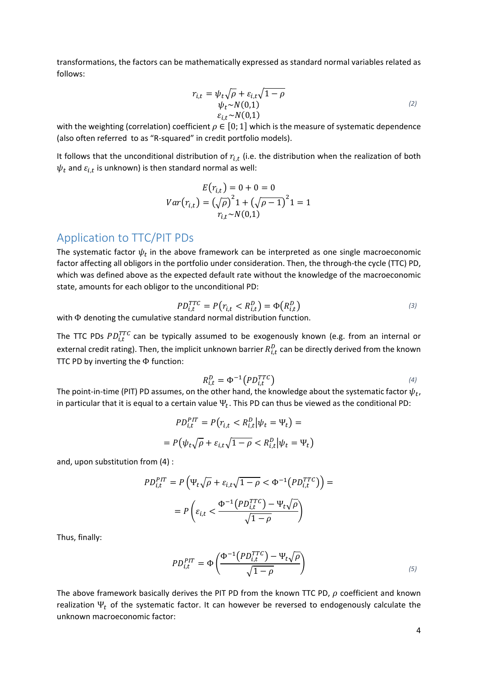transformations, the factors can be mathematically expressed as standard normal variables related as follows:

$$
r_{i,t} = \psi_t \sqrt{\rho} + \varepsilon_{i,t} \sqrt{1 - \rho}
$$
  
\n
$$
\psi_t \sim N(0,1)
$$
  
\n
$$
\varepsilon_{i,t} \sim N(0,1)
$$
 (2)

with the weighting (correlation) coefficient  $\rho \in [0; 1]$  which is the measure of systematic dependence (also often referred to as "R‐squared" in credit portfolio models).

It follows that the unconditional distribution of  $r_{i,t}$  (i.e. the distribution when the realization of both  $\psi_t$  and  $\varepsilon_{i,t}$  is unknown) is then standard normal as well:

$$
E(r_{i,t}) = 0 + 0 = 0
$$
  
 
$$
Var(r_{i,t}) = (\sqrt{\rho})^2 1 + (\sqrt{\rho - 1})^2 1 = 1
$$
  
 
$$
r_{i,t} \sim N(0,1)
$$

## Application to TTC/PIT PDs

The systematic factor  $\psi_t$  in the above framework can be interpreted as one single macroeconomic factor affecting all obligors in the portfolio under consideration. Then, the through-the cycle (TTC) PD, which was defined above as the expected default rate without the knowledge of the macroeconomic state, amounts for each obligor to the unconditional PD:

$$
PD_{i,t}^{TTC} = P(r_{i,t} < R_{i,t}^D) = \Phi(R_{i,t}^D) \tag{3}
$$

with Φ denoting the cumulative standard normal distribution function.

The TTC PDs  $PD_{i,t}^{TTC}$  can be typically assumed to be exogenously known (e.g. from an internal or external credit rating). Then, the implicit unknown barrier  $R_{i,t}^D$  can be directly derived from the known TTC PD by inverting the  $\Phi$  function:

$$
R_{i,t}^D = \Phi^{-1}\left(PD_{i,t}^{TTC}\right) \tag{4}
$$

The point-in-time (PIT) PD assumes, on the other hand, the knowledge about the systematic factor  $\psi_t$ , in particular that it is equal to a certain value  $\Psi_t.$  This PD can thus be viewed as the conditional PD:

$$
PD_{i,t}^{PIT} = P(r_{i,t} < R_{i,t}^D | \psi_t = \Psi_t) =
$$
\n
$$
= P(\psi_t \sqrt{\rho} + \varepsilon_{i,t} \sqrt{1 - \rho} < R_{i,t}^D | \psi_t = \Psi_t)
$$

and, upon substitution from (4) :

$$
PD_{i,t}^{PIT} = P(\Psi_t \sqrt{\rho} + \varepsilon_{i,t} \sqrt{1 - \rho} < \Phi^{-1}(PD_{i,t}^{TTC})) =
$$
\n
$$
= P\left(\varepsilon_{i,t} < \frac{\Phi^{-1}(PD_{i,t}^{TTC}) - \Psi_t \sqrt{\rho}}{\sqrt{1 - \rho}}\right)
$$

Thus, finally:

$$
PD_{i,t}^{PIT} = \Phi\left(\frac{\Phi^{-1}(PD_{i,t}^{TTC}) - \Psi_t\sqrt{\rho}}{\sqrt{1-\rho}}\right)
$$
\n<sup>(5)</sup>

The above framework basically derives the PIT PD from the known TTC PD,  $\rho$  coefficient and known realization  $\Psi_r$  of the systematic factor. It can however be reversed to endogenously calculate the unknown macroeconomic factor: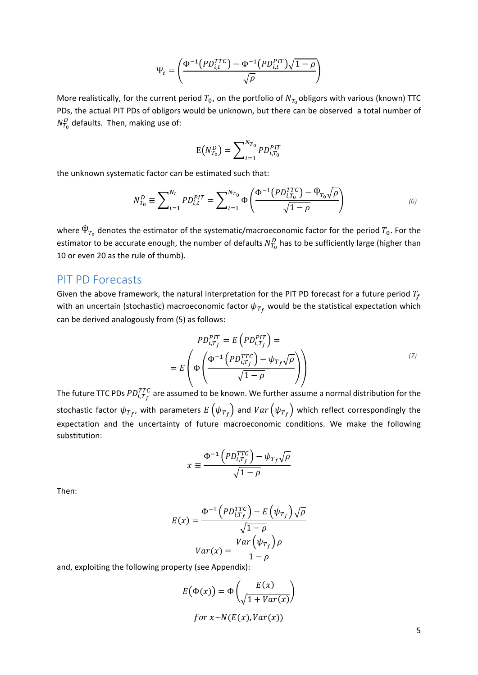$$
\Psi_t = \left(\frac{\Phi^{-1}(PD_{i,t}^{TTC}) - \Phi^{-1}(PD_{i,t}^{PIT})\sqrt{1-\rho}}{\sqrt{\rho}}\right)
$$

More realistically, for the current period  $T_0$ , on the portfolio of  $N_{T_0}$  obligors with various (known) TTC PDs, the actual PIT PDs of obligors would be unknown, but there can be observed a total number of  $N_{T_0}^D$  defaults. Then, making use of:

$$
E(N_{T_0}^D) = \sum\nolimits_{i=1}^{N_{T_0}} PD_{i,T_0}^{PIT}
$$

the unknown systematic factor can be estimated such that:

$$
N_{T_0}^D \equiv \sum_{i=1}^{N_t} P D_{i,t}^{PIT} = \sum_{i=1}^{N_{T_0}} \Phi \left( \frac{\Phi^{-1} \left( P D_{i,T_0}^{TTC} \right) - \hat{\Psi}_{T_0} \sqrt{\rho}}{\sqrt{1 - \rho}} \right) \tag{6}
$$

where  $\widehat{\Psi}_{T_0}$  denotes the estimator of the systematic/macroeconomic factor for the period  $T_0$ . For the estimator to be accurate enough, the number of defaults  $N_{T_0}^D$  has to be sufficiently large (higher than 10 or even 20 as the rule of thumb).

#### **PIT PD Forecasts**

Given the above framework, the natural interpretation for the PIT PD forecast for a future period  $T_f$ with an uncertain (stochastic) macroeconomic factor  $\psi_{T_f}$  would be the statistical expectation which can be derived analogously from (5) as follows:

$$
PD_{i,T_f}^{PIT} = E\left(PD_{i,T_f}^{PIT}\right) =
$$
  
= 
$$
E\left(\Phi\left(\frac{\Phi^{-1}\left(PD_{i,T_f}^{TTC}\right) - \psi_{T_f}\sqrt{\rho}}{\sqrt{1-\rho}}\right)\right)
$$
 (7)

The future TTC PDs  $PD_{i,T_f}^{TTC}$  are assumed to be known. We further assume a normal distribution for the stochastic factor  $\psi_{T_f}$ , with parameters  $E\left(\psi_{T_f}\right)$  and  $Var\left(\psi_{T_f}\right)$  which reflect correspondingly the expectation and the uncertainty of future macroeconomic conditions. We make the following substitution:

$$
x \equiv \frac{\Phi^{-1}\left(PD_{i,T_f}^{TTC}\right) - \psi_{T_f}\sqrt{\rho}}{\sqrt{1-\rho}}
$$

Then:

$$
E(x) = \frac{\Phi^{-1}\left(PD_{i,T_f}^{TTC}\right) - E\left(\psi_{T_f}\right)\sqrt{\rho}}{\sqrt{1-\rho}}
$$

$$
Var(x) = \frac{Var\left(\psi_{T_f}\right)\rho}{1-\rho}
$$

and, exploiting the following property (see Appendix):

$$
E(\Phi(x)) = \Phi\left(\frac{E(x)}{\sqrt{1+Var(x)}}\right)
$$

for  $x \sim N(E(x), Var(x))$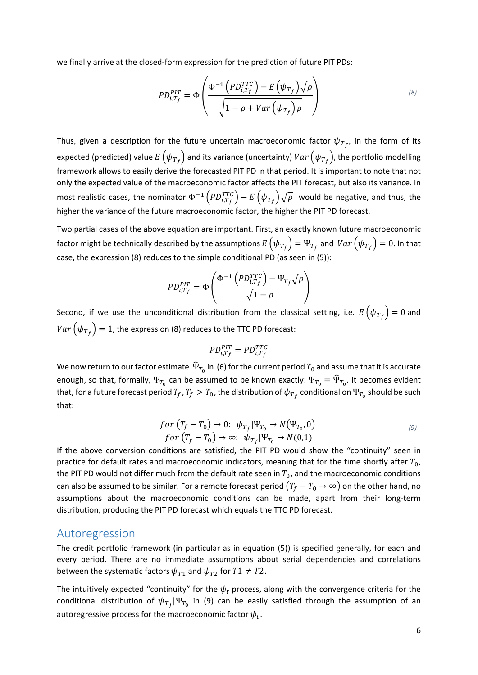we finally arrive at the closed-form expression for the prediction of future PIT PDs:

$$
PD_{i,T_f}^{PIT} = \Phi\left(\frac{\Phi^{-1}\left(PD_{i,T_f}^{TTC}\right) - E\left(\psi_{T_f}\right)\sqrt{\rho}}{\sqrt{1-\rho+Var\left(\psi_{T_f}\right)\rho}}\right)
$$
\n(8)

Thus, given a description for the future uncertain macroeconomic factor  $\psi_{T_{f}}$ , in the form of its expected (predicted) value  $E\left(\psi_{T_f}\right)$  and its variance (uncertainty)  $Var\left(\psi_{T_f}\right)$ , the portfolio modelling framework allows to easily derive the forecasted PIT PD in that period. It is important to note that not only the expected value of the macroeconomic factor affects the PIT forecast, but also its variance. In most realistic cases, the nominator  $\Phi^{-1}\left(PD_{i,T_f}^{TTC}\right)-E\left(\psi_{T_f}\right)\sqrt{\rho}$  would be negative, and thus, the higher the variance of the future macroeconomic factor, the higher the PIT PD forecast.

Two partial cases of the above equation are important. First, an exactly known future macroeconomic factor might be technically described by the assumptions  $E(\psi_{T_f}) = \Psi_{T_f}$  and  $Var(\psi_{T_f}) = 0$ . In that case, the expression (8) reduces to the simple conditional PD (as seen in (5)):

$$
PD_{i,T_f}^{PIT} = \Phi\left(\frac{\Phi^{-1}\left(PD_{i,T_f}^{TTC}\right) - \Psi_{T_f}\sqrt{\rho}}{\sqrt{1-\rho}}\right)
$$

Second, if we use the unconditional distribution from the classical setting, i.e.  $E(\psi_{T_f}) = 0$  and  $Var(\psi_{T_f}) = 1$ , the expression (8) reduces to the TTC PD forecast:

$$
PD_{i,T_f}^{PIT} = PD_{i,T_f}^{TTC}
$$

We now return to our factor estimate  $\widehat{\Psi}_{T_0}$  in (6) for the current period  $T_0$  and assume that it is accurate enough, so that, formally,  $\Psi_{T_0}$  can be assumed to be known exactly:  $\Psi_{T_0} = \hat{\Psi}_{T_0}$ . It becomes evident that, for a future forecast period  $T_f$ ,  $T_f > T_0$ , the distribution of  $\psi_{T_f}$  conditional on  $\Psi_{T_0}$  should be such that:

$$
for (T_f - T_0) \rightarrow 0: \psi_{T_f}|\Psi_{T_0} \rightarrow N(\Psi_{T_0}, 0)
$$
  
for  $(T_f - T_0) \rightarrow \infty: \psi_{T_f}|\Psi_{T_0} \rightarrow N(0, 1)$  (9)

If the above conversion conditions are satisfied, the PIT PD would show the "continuity" seen in practice for default rates and macroeconomic indicators, meaning that for the time shortly after  $T_0$ , the PIT PD would not differ much from the default rate seen in  $T_0$ , and the macroeconomic conditions can also be assumed to be similar. For a remote forecast period  $(T_f - T_0 \rightarrow \infty)$  on the other hand, no assumptions about the macroeconomic conditions can be made, apart from their long-term distribution, producing the PIT PD forecast which equals the TTC PD forecast.

#### Autoregression

The credit portfolio framework (in particular as in equation (5)) is specified generally, for each and every period. There are no immediate assumptions about serial dependencies and correlations between the systematic factors  $\psi_{T1}$  and  $\psi_{T2}$  for  $T1 \neq T2$ .

The intuitively expected "continuity" for the  $\psi_t$  process, along with the convergence criteria for the conditional distribution of  $\psi_{T_f}|\Psi_{T_0}$  in (9) can be easily satisfied through the assumption of an autoregressive process for the macroeconomic factor  $\psi_t$ .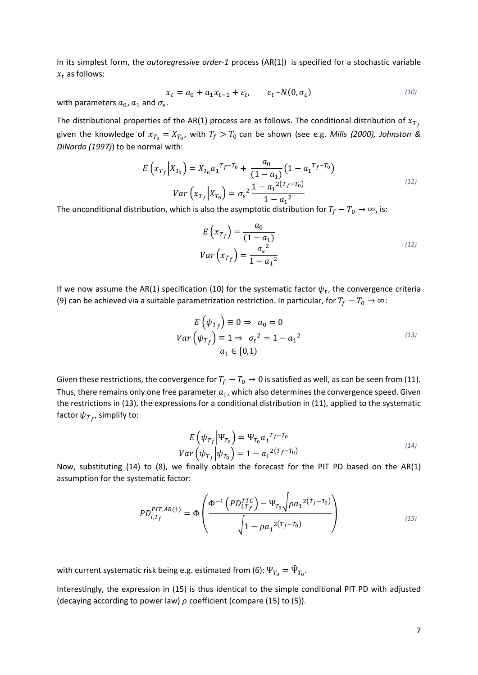In its simplest form, the *autoregressive order-1* process (AR(1)) is specified for a stochastic variable  $x_t$  as follows:

$$
x_t = a_0 + a_1 x_{t-1} + \varepsilon_t, \qquad \varepsilon_t \sim N(0, \sigma_{\varepsilon})
$$
\n<sup>(10)</sup>

with parameters  $a_0$ ,  $a_1$  and  $\sigma_{\varepsilon}$ .

The distributional properties of the AR(1) process are as follows. The conditional distribution of  $x_{T_f}$ given the knowledge of  $x_{T_0} = X_{T_0}$ , with  $T_f > T_0$  can be shown (see e.g. *Mills (2000), Johnston & DiNardo (1997)*) to be normal with:

$$
E\left(x_{T_f}\Big|X_{T_0}\right) = X_{T_0}a_1^{T_f - T_0} + \frac{a_0}{(1 - a_1)}\left(1 - a_1^{T_f - T_0}\right)
$$
\n
$$
Var\left(x_{T_f}\Big|X_{T_0}\right) = \sigma_{\varepsilon}^2 \frac{1 - a_1^{T_f - T_0}}{1 - a_1^2} \tag{11}
$$

The unconditional distribution, which is also the asymptotic distribution for  $T_f - T_0 \rightarrow \infty$ , is:

$$
E\left(x_{T_f}\right) = \frac{a_0}{(1 - a_1)}
$$
  
Var $\left(x_{T_f}\right) = \frac{\sigma_{\varepsilon}^2}{1 - a_1^2}$  (12)

If we now assume the AR(1) specification (10) for the systematic factor  $\psi_t$ , the convergence criteria (9) can be achieved via a suitable parametrization restriction. In particular, for  $T_f - T_0 \rightarrow \infty$ :

$$
E(\psi_{T_f}) \equiv 0 \Rightarrow a_0 = 0
$$
  
\n
$$
Var(\psi_{T_f}) \equiv 1 \Rightarrow \sigma_{\varepsilon}^2 = 1 - a_1^2
$$
  
\n
$$
a_1 \in [0,1)
$$
\n(13)

Given these restrictions, the convergence for  $T_f - T_0 \rightarrow 0$  is satisfied as well, as can be seen from (11). Thus, there remains only one free parameter  $a_1$ , which also determines the convergence speed. Given the restrictions in (13), the expressions for a conditional distribution in (11), applied to the systematic factor  $\psi_{T_f}$ , simplify to:

$$
E\left(\psi_{T_f}\middle|\Psi_{T_0}\right) = \Psi_{T_0} a_1^{T_f - T_0}
$$
  
\n
$$
Var\left(\psi_{T_f}\middle|\psi_{T_0}\right) = 1 - a_1^{2(T_f - T_0)}
$$
\n(14)

Now, substituting (14) to (8), we finally obtain the forecast for the PIT PD based on the AR(1) assumption for the systematic factor:

$$
PD_{i,T_f}^{PIT,AR(1)} = \Phi\left(\frac{\Phi^{-1}\left(PD_{i,T_f}^{TTC}\right) - \Psi_{T_0}\sqrt{\rho a_1^{2(T_f - T_0)}}}{\sqrt{1 - \rho a_1^{2(T_f - T_0)}}}\right)
$$
(15)

with current systematic risk being e.g. estimated from (6):  $\Psi_{T_0} = \widehat{\Psi}_{T_0}.$ 

Interestingly, the expression in (15) is thus identical to the simple conditional PIT PD with adjusted (decaying according to power law)  $\rho$  coefficient (compare (15) to (5)).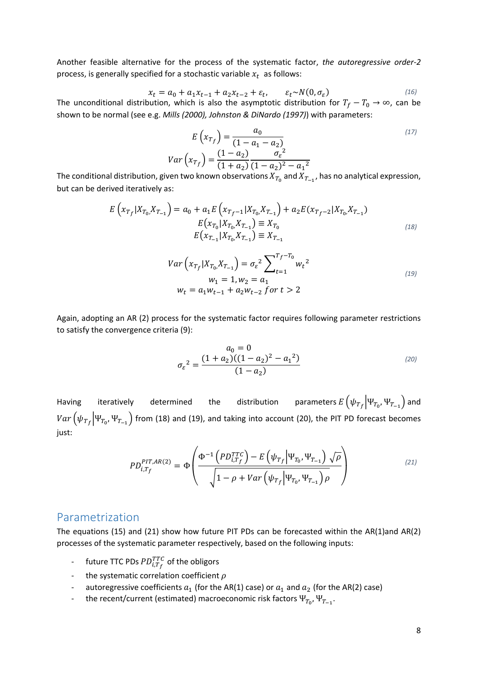Another feasible alternative for the process of the systematic factor, *the autoregressive order‐2* process, is generally specified for a stochastic variable  $x_t$  as follows:

$$
x_t = a_0 + a_1 x_{t-1} + a_2 x_{t-2} + \varepsilon_t, \qquad \varepsilon_t \sim N(0, \sigma_{\varepsilon})
$$
\n
$$
\tag{16}
$$

The unconditional distribution, which is also the asymptotic distribution for  $T_f - T_0 \rightarrow \infty$ , can be shown to be normal (see e.g. *Mills (2000), Johnston & DiNardo (1997)*) with parameters:

$$
E\left(x_{T_f}\right) = \frac{a_0}{(1 - a_1 - a_2)}
$$
\n
$$
Var\left(x_{T_f}\right) = \frac{(1 - a_2)}{(1 + a_2)} \frac{\sigma_{\varepsilon}^2}{(1 - a_2)^2 - a_1^2}
$$
\n(17)

The conditional distribution, given two known observations  $X_{T_0}$  and  $X_{T_{-1}}$ , has no analytical expression, but can be derived iteratively as:

$$
E\left(x_{T_f}|X_{T_0}, X_{T_{-1}}\right) = a_0 + a_1 E\left(x_{T_f-1}|X_{T_0}, X_{T_{-1}}\right) + a_2 E(x_{T_f-2}|X_{T_0}, X_{T_{-1}})
$$

$$
E\left(x_{T_0}|X_{T_0}, X_{T_{-1}}\right) \equiv X_{T_0}
$$

$$
E\left(x_{T_{-1}}|X_{T_0}, X_{T_{-1}}\right) \equiv X_{T_{-1}}
$$
(18)

$$
Var\left(x_{T_f}|X_{T_0,}X_{T_{-1}}\right) = \sigma_{\varepsilon}^2 \sum_{t=1}^{T_f - T_0} w_t^2
$$
  
\n
$$
w_1 = 1, w_2 = a_1
$$
  
\n
$$
w_t = a_1 w_{t-1} + a_2 w_{t-2} \text{ for } t > 2
$$
 (19)

Again, adopting an AR (2) process for the systematic factor requires following parameter restrictions to satisfy the convergence criteria (9):

$$
a_0 = 0
$$
  

$$
\sigma_{\varepsilon}^2 = \frac{(1 + a_2)((1 - a_2)^2 - a_1^2)}{(1 - a_2)}
$$
 (20)

Having iteratively determined the distribution parameters  $E\left(\psi_{T_f}|\Psi_{T_0},\Psi_{T_{-1}}\right)$  and  ${\it Var}\left(\psi_{T_f}\middle|\Psi_{T_0},\Psi_{T_{-1}}\right)$  from (18) and (19), and taking into account (20), the PIT PD forecast becomes iust:

$$
PD_{i,T_f}^{PIT,AR(2)} = \Phi\left(\frac{\Phi^{-1}\left(PD_{i,T_f}^{TTC}\right) - E\left(\psi_{T_f}|\Psi_{T_0}, \Psi_{T_{-1}}\right)\sqrt{\rho}}{\sqrt{1-\rho+Var\left(\psi_{T_f}|\Psi_{T_0}, \Psi_{T_{-1}}\right)\rho}}\right)
$$
(21)

#### Parametrization

The equations (15) and (21) show how future PIT PDs can be forecasted within the AR(1)and AR(2) processes of the systematic parameter respectively, based on the following inputs:

- $\quad$  future TTC PDs  $PD_{i,T_f}^{TTC}$  of the obligors
- the systematic correlation coefficient  $\rho$
- autoregressive coefficients  $a_1$  (for the AR(1) case) or  $a_1$  and  $a_2$  (for the AR(2) case)
- the recent/current (estimated) macroeconomic risk factors  $\Psi_{T_0}$ ,  $\Psi_{T_{-1}}$ .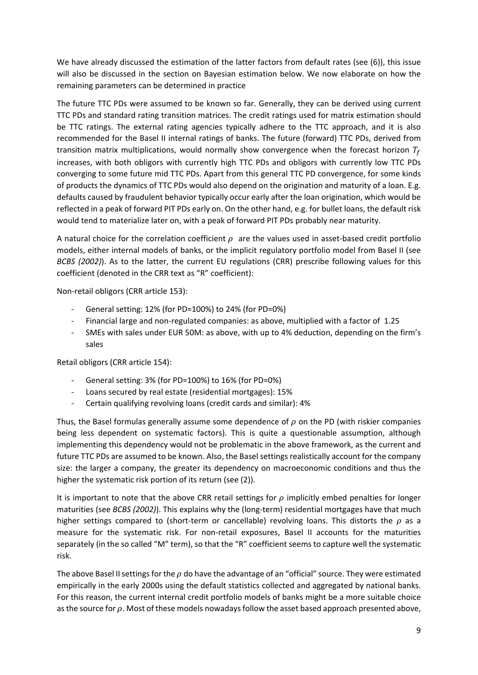We have already discussed the estimation of the latter factors from default rates (see (6)), this issue will also be discussed in the section on Bayesian estimation below. We now elaborate on how the remaining parameters can be determined in practice

The future TTC PDs were assumed to be known so far. Generally, they can be derived using current TTC PDs and standard rating transition matrices. The credit ratings used for matrix estimation should be TTC ratings. The external rating agencies typically adhere to the TTC approach, and it is also recommended for the Basel II internal ratings of banks. The future (forward) TTC PDs, derived from transition matrix multiplications, would normally show convergence when the forecast horizon  $T_f$ increases, with both obligors with currently high TTC PDs and obligors with currently low TTC PDs converging to some future mid TTC PDs. Apart from this general TTC PD convergence, for some kinds of products the dynamics of TTC PDs would also depend on the origination and maturity of a loan. E.g. defaults caused by fraudulent behavior typically occur early after the loan origination, which would be reflected in a peak of forward PIT PDs early on. On the other hand, e.g. for bullet loans, the default risk would tend to materialize later on, with a peak of forward PIT PDs probably near maturity.

A natural choice for the correlation coefficient  $\rho$  are the values used in asset-based credit portfolio models, either internal models of banks, or the implicit regulatory portfolio model from Basel II (see *BCBS (2002)*). As to the latter, the current EU regulations (CRR) prescribe following values for this coefficient (denoted in the CRR text as "R" coefficient):

Non‐retail obligors (CRR article 153):

- ‐ General setting: 12% (for PD=100%) to 24% (for PD=0%)
- ‐ Financial large and non‐regulated companies: as above, multiplied with a factor of 1.25
- SMEs with sales under EUR 50M: as above, with up to 4% deduction, depending on the firm's sales

Retail obligors (CRR article 154):

- ‐ General setting: 3% (for PD=100%) to 16% (for PD=0%)
- ‐ Loans secured by real estate (residential mortgages): 15%
- ‐ Certain qualifying revolving loans (credit cards and similar): 4%

Thus, the Basel formulas generally assume some dependence of  $\rho$  on the PD (with riskier companies being less dependent on systematic factors). This is quite a questionable assumption, although implementing this dependency would not be problematic in the above framework, as the current and future TTC PDs are assumed to be known. Also, the Basel settings realistically account for the company size: the larger a company, the greater its dependency on macroeconomic conditions and thus the higher the systematic risk portion of its return (see (2)).

It is important to note that the above CRR retail settings for  $\rho$  implicitly embed penalties for longer maturities (see *BCBS (2002)*). This explains why the (long‐term) residential mortgages have that much higher settings compared to (short-term or cancellable) revolving loans. This distorts the  $\rho$  as a measure for the systematic risk. For non-retail exposures, Basel II accounts for the maturities separately (in the so called "M" term), so that the "R" coefficient seems to capture well the systematic risk.

The above Basel II settings for the  $\rho$  do have the advantage of an "official" source. They were estimated empirically in the early 2000s using the default statistics collected and aggregated by national banks. For this reason, the current internal credit portfolio models of banks might be a more suitable choice as the source for  $\rho$ . Most of these models nowadays follow the asset based approach presented above,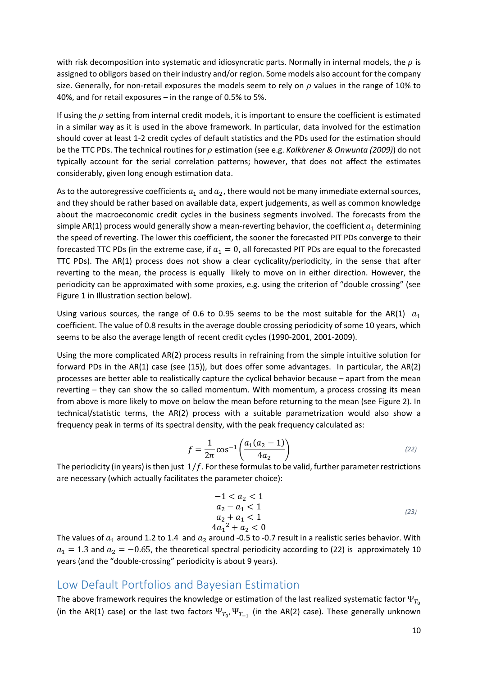with risk decomposition into systematic and idiosyncratic parts. Normally in internal models, the  $\rho$  is assigned to obligors based on their industry and/or region. Some models also account for the company size. Generally, for non-retail exposures the models seem to rely on  $\rho$  values in the range of 10% to 40%, and for retail exposures – in the range of 0.5% to 5%.

If using the  $\rho$  setting from internal credit models, it is important to ensure the coefficient is estimated in a similar way as it is used in the above framework. In particular, data involved for the estimation should cover at least 1‐2 credit cycles of default statistics and the PDs used for the estimation should be the TTC PDs. The technical routines for ߩ estimation (see e.g. *Kalkbrener & Onwunta (2009)*) do not typically account for the serial correlation patterns; however, that does not affect the estimates considerably, given long enough estimation data.

As to the autoregressive coefficients  $a_1$  and  $a_2$ , there would not be many immediate external sources, and they should be rather based on available data, expert judgements, as well as common knowledge about the macroeconomic credit cycles in the business segments involved. The forecasts from the simple AR(1) process would generally show a mean-reverting behavior, the coefficient  $a_1$  determining the speed of reverting. The lower this coefficient, the sooner the forecasted PIT PDs converge to their forecasted TTC PDs (in the extreme case, if  $a_1 = 0$ , all forecasted PIT PDs are equal to the forecasted TTC PDs). The AR(1) process does not show a clear cyclicality/periodicity, in the sense that after reverting to the mean, the process is equally likely to move on in either direction. However, the periodicity can be approximated with some proxies, e.g. using the criterion of "double crossing" (see Figure 1 in Illustration section below).

Using various sources, the range of 0.6 to 0.95 seems to be the most suitable for the AR(1)  $a_1$ coefficient. The value of 0.8 results in the average double crossing periodicity of some 10 years, which seems to be also the average length of recent credit cycles (1990‐2001, 2001‐2009).

Using the more complicated AR(2) process results in refraining from the simple intuitive solution for forward PDs in the AR(1) case (see (15)), but does offer some advantages. In particular, the AR(2) processes are better able to realistically capture the cyclical behavior because – apart from the mean reverting – they can show the so called momentum. With momentum, a process crossing its mean from above is more likely to move on below the mean before returning to the mean (see Figure 2). In technical/statistic terms, the AR(2) process with a suitable parametrization would also show a frequency peak in terms of its spectral density, with the peak frequency calculated as:

$$
f = \frac{1}{2\pi} \cos^{-1} \left( \frac{a_1(a_2 - 1)}{4a_2} \right)
$$
 (22)

The periodicity (in years) is then just  $1/f$ . For these formulas to be valid, further parameter restrictions are necessary (which actually facilitates the parameter choice):

$$
-1 < a_2 < 1 \n a_2 - a_1 < 1 \n a_2 + a_1 < 1 \n 4a_12 + a_2 < 0
$$
\n(23)

The values of  $a_1$  around 1.2 to 1.4 and  $a_2$  around -0.5 to -0.7 result in a realistic series behavior. With  $a_1 = 1.3$  and  $a_2 = -0.65$ , the theoretical spectral periodicity according to (22) is approximately 10 years (and the "double‐crossing" periodicity is about 9 years).

### Low Default Portfolios and Bayesian Estimation

The above framework requires the knowledge or estimation of the last realized systematic factor  $\Psi_{T_0}$ (in the AR(1) case) or the last two factors  $\Psi_{T_0}, \Psi_{T_{-1}}$  (in the AR(2) case). These generally unknown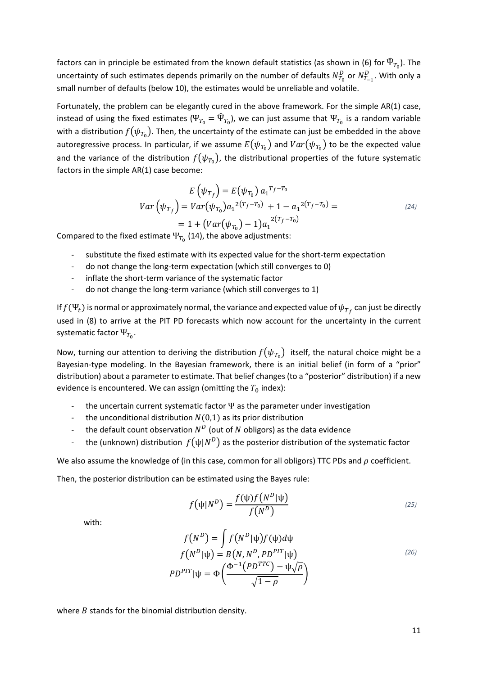factors can in principle be estimated from the known default statistics (as shown in (6) for  $\Psi_{T_0}$ ). The uncertainty of such estimates depends primarily on the number of defaults  $N_{T_0}^D$  or  $N_{T_{-1}}^D$ . With only a small number of defaults (below 10), the estimates would be unreliable and volatile.

Fortunately, the problem can be elegantly cured in the above framework. For the simple AR(1) case, instead of using the fixed estimates ( $\Psi_{T_0} = \hat{\Psi}_{T_0}$ ), we can just assume that  $\Psi_{T_0}$  is a random variable with a distribution  $f(\psi_{T_0})$ . Then, the uncertainty of the estimate can just be embedded in the above autoregressive process. In particular, if we assume  $E(\psi_{T_0})$  and  $Var(\psi_{T_0})$  to be the expected value and the variance of the distribution  $f(\psi_{T_0})$ , the distributional properties of the future systematic factors in the simple AR(1) case become:

$$
E(\psi_{T_f}) = E(\psi_{T_0}) a_1^{T_f - T_0}
$$
  
\n
$$
Var(\psi_{T_f}) = Var(\psi_{T_0}) a_1^{2(T_f - T_0)} + 1 - a_1^{2(T_f - T_0)} =
$$
  
\n
$$
= 1 + (Var(\psi_{T_0}) - 1) a_1^{2(T_f - T_0)}
$$
\n(24)

Compared to the fixed estimate  $\Psi_{T_0}$  (14), the above adjustments:

- substitute the fixed estimate with its expected value for the short-term expectation
- do not change the long-term expectation (which still converges to 0)
- inflate the short-term variance of the systematic factor
- do not change the long-term variance (which still converges to 1)  $\omega_{\rm c}$

If  $f(\Psi_t)$  is normal or approximately normal, the variance and expected value of  $\psi_{T_f}$  can just be directly used in (8) to arrive at the PIT PD forecasts which now account for the uncertainty in the current systematic factor  $\Psi_{T_0}$ .

Now, turning our attention to deriving the distribution  $f(\psi_{T_0})$  itself, the natural choice might be a Bayesian-type modeling. In the Bayesian framework, there is an initial belief (in form of a "prior" distribution) about a parameter to estimate. That belief changes (to a "posterior" distribution) if a new evidence is encountered. We can assign (omitting the  $T_0$  index):

- the uncertain current systematic factor  $\Psi$  as the parameter under investigation
- the unconditional distribution  $N(0.1)$  as its prior distribution
- the default count observation  $N^D$  (out of N obligors) as the data evidence
- the (unknown) distribution  $f(\psi|N^D)$  as the posterior distribution of the systematic factor

#### We also assume the knowledge of (in this case, common for all obligors) TTC PDs and  $\rho$  coefficient.

Then, the posterior distribution can be estimated using the Bayes rule:

$$
f(\psi|N^D) = \frac{f(\psi)f(N^D|\psi)}{f(N^D)}
$$
\n<sup>(25)</sup>

with:

$$
f(N^{D}) = \int f(N^{D}|\psi) f(\psi) d\psi
$$
  
\n
$$
f(N^{D}|\psi) = B(N, N^{D}, PD^{PIT}|\psi)
$$
  
\n
$$
PD^{PIT}|\psi = \Phi\left(\frac{\Phi^{-1}(PD^{TTC}) - \psi\sqrt{\rho}}{\sqrt{1-\rho}}\right)
$$
\n(26)

where  $B$  stands for the binomial distribution density.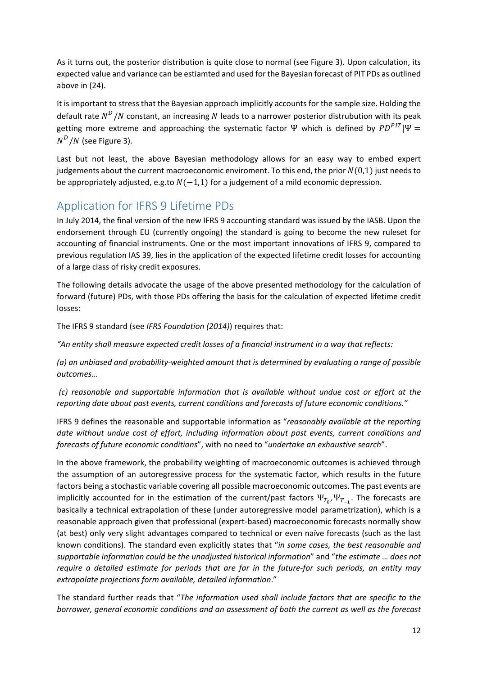As it turns out, the posterior distribution is quite close to normal (see Figure 3). Upon calculation, its expected value and variance can be estiamted and used for the Bayesian forecast of PIT PDs as outlined above in (24).

It is important to stress that the Bayesian approach implicitly accounts for the sample size. Holding the default rate  $N^D/N$  constant, an increasing  $N$  leads to a narrower posterior distrubution with its peak getting more extreme and approaching the systematic factor  $\Psi$  which is defined by  $PD^{PIT}|\Psi =$  $N^D/N$  (see Figure 3).

Last but not least, the above Bayesian methodology allows for an easy way to embed expert judgements about the current macroeconomic enviroment. To this end, the prior  $N(0,1)$  just needs to be appropriately adjusted, e.g.to  $N(-1,1)$  for a judgement of a mild economic depression.

# Application for IFRS 9 Lifetime PDs

In July 2014, the final version of the new IFRS 9 accounting standard was issued by the IASB. Upon the endorsement through EU (currently ongoing) the standard is going to become the new ruleset for accounting of financial instruments. One or the most important innovations of IFRS 9, compared to previous regulation IAS 39, lies in the application of the expected lifetime credit losses for accounting of a large class of risky credit exposures.

The following details advocate the usage of the above presented methodology for the calculation of forward (future) PDs, with those PDs offering the basis for the calculation of expected lifetime credit losses:

The IFRS 9 standard (see *IFRS Foundation (2014)*) requires that:

*"An entity shall measure expected credit losses of a financial instrument in a way that reflects:*

*(a) an unbiased and probability‐weighted amount that is determined by evaluating a range of possible outcomes…*

*(c) reasonable and supportable information that is available without undue cost or effort at the reporting date about past events, current conditions and forecasts of future economic conditions."*

IFRS 9 defines the reasonable and supportable information as "*reasonably available at the reporting date without undue cost of effort, including information about past events, current conditions and forecasts of future economic conditions*", with no need to "*undertake an exhaustive search*".

In the above framework, the probability weighting of macroeconomic outcomes is achieved through the assumption of an autoregressive process for the systematic factor, which results in the future factors being a stochastic variable covering all possible macroeconomic outcomes. The past events are implicitly accounted for in the estimation of the current/past factors  $\Psi_{T_0},\Psi_{T_{-1}}.$  The forecasts are basically a technical extrapolation of these (under autoregressive model parametrization), which is a reasonable approach given that professional (expert‐based) macroeconomic forecasts normally show (at best) only very slight advantages compared to technical or even naïve forecasts (such as the last known conditions). The standard even explicitly states that "*in some cases, the best reasonable and supportable information could be the unadjusted historical information*" and "*the estimate … does not* require a detailed estimate for periods that are far in the future-for such periods, an entity may *extrapolate projections form available, detailed information*."

The standard further reads that "*The information used shall include factors that are specific to the borrower, general economic conditions and an assessment of both the current as well as the forecast*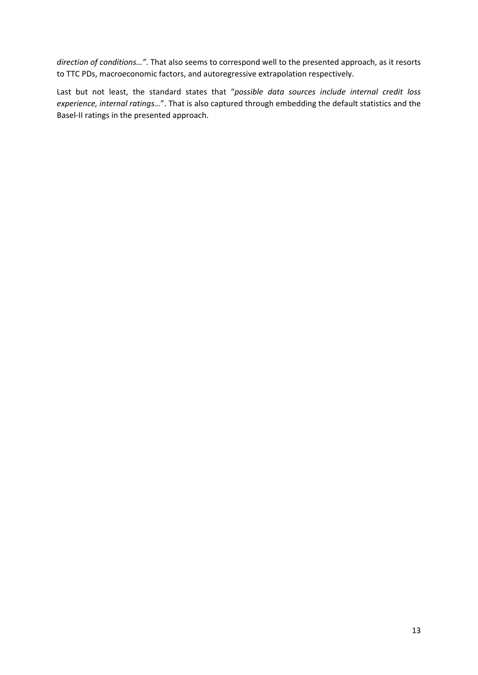*direction of conditions…"*. That also seems to correspond well to the presented approach, as it resorts to TTC PDs, macroeconomic factors, and autoregressive extrapolation respectively.

Last but not least, the standard states that "*possible data sources include internal credit loss experience, internal ratings…*". That is also captured through embedding the default statistics and the Basel‐II ratings in the presented approach.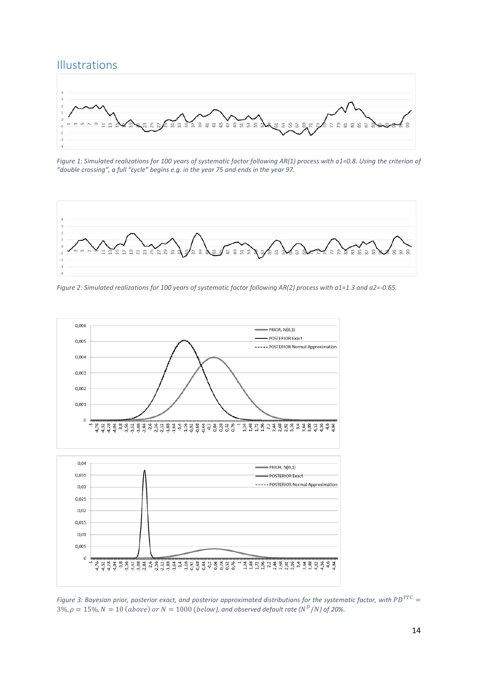### Illustrations



Figure 1: Simulated realizations for 100 years of systematic factor following AR(1) process with a1=0.8. Using the criterion of *"double crossing", a full "cycle" begins e.g. in the year 75 and ends in the year 97.* 



Figure 2: Simulated realizations for 100 years of systematic factor following AR(2) process with a1=1.3 and a2=-0.65.



Figure 3: Bayesian prior, posterior exact, and posterior approximated distributions for the systematic factor, with  $PD^{TTC}$  =  $3\%, \rho = 15\%, N = 10 \text{ (above) or } N = 1000 \text{ (below), and observed default rate } (N^D/N) \text{ of } 20\%.$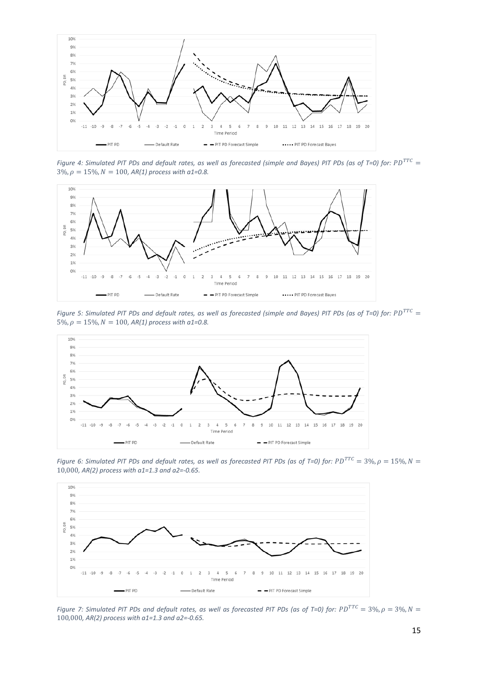

Figure 4: Simulated PIT PDs and default rates, as well as forecasted (simple and Bayes) PIT PDs (as of T=0) for:  $PD^{TTC}$  =  $3\%, \rho = 15\%, N = 100, AR(1)$  process with a1=0.8.



Figure 5: Simulated PIT PDs and default rates, as well as forecasted (simple and Bayes) PIT PDs (as of T=0) for:  $PD^{TTC}$  =  $5\%, \rho = 15\%, N = 100, AR(1)$  process with a1=0.8.



Figure 6: Simulated PIT PDs and default rates, as well as forecasted PIT PDs (as of T=0) for:  $PD^{TTC} = 3\%, \rho = 15\%, N = 15\%$ 10,000*, AR(2) process with a1=1.3 and a2=‐0.65.*



Figure 7: Simulated PIT PDs and default rates, as well as forecasted PIT PDs (as of T=0) for:  $PD^{TTC} = 3\%, p = 3\%, N = 10$ 100,000*, AR(2) process with a1=1.3 and a2=‐0.65.*